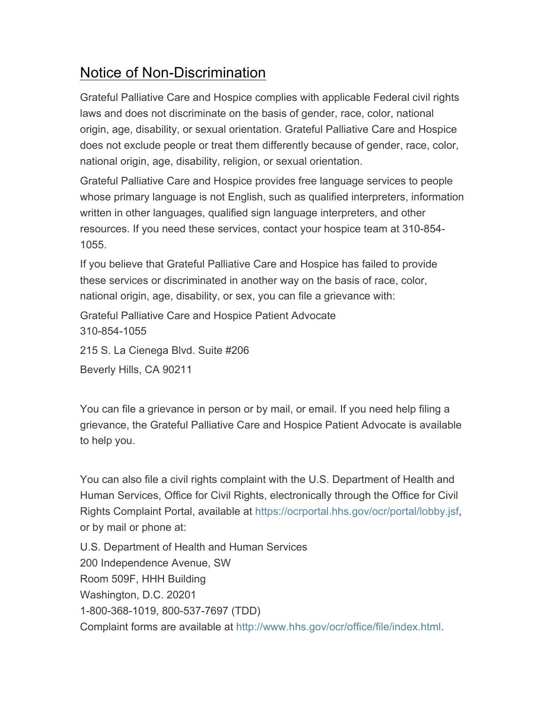# Notice of Non-Discrimination

Grateful Palliative Care and Hospice complies with applicable Federal civil rights laws and does not discriminate on the basis of gender, race, color, national origin, age, disability, or sexual orientation. Grateful Palliative Care and Hospice does not exclude people or treat them differently because of gender, race, color, national origin, age, disability, religion, or sexual orientation.

Grateful Palliative Care and Hospice provides free language services to people whose primary language is not English, such as qualified interpreters, information written in other languages, qualified sign language interpreters, and other resources. If you need these services, contact your hospice team at 310-854- 1055.

If you believe that Grateful Palliative Care and Hospice has failed to provide these services or discriminated in another way on the basis of race, color, national origin, age, disability, or sex, you can file a grievance with:

Grateful Palliative Care and Hospice Patient Advocate 310-854-1055

215 S. La Cienega Blvd. Suite #206

Beverly Hills, CA 90211

You can file a grievance in person or by mail, or email. If you need help filing a grievance, the Grateful Palliative Care and Hospice Patient Advocate is available to help you.

You can also file a civil rights complaint with the U.S. Department of Health and Human Services, Office for Civil Rights, electronically through the Office for Civil Rights Complaint Portal, available at https://ocrportal.hhs.gov/ocr/portal/lobby.jsf, or by mail or phone at:

U.S. Department of Health and Human Services 200 Independence Avenue, SW Room 509F, HHH Building Washington, D.C. 20201 1-800-368-1019, 800-537-7697 (TDD) Complaint forms are available at http://www.hhs.gov/ocr/office/file/index.html.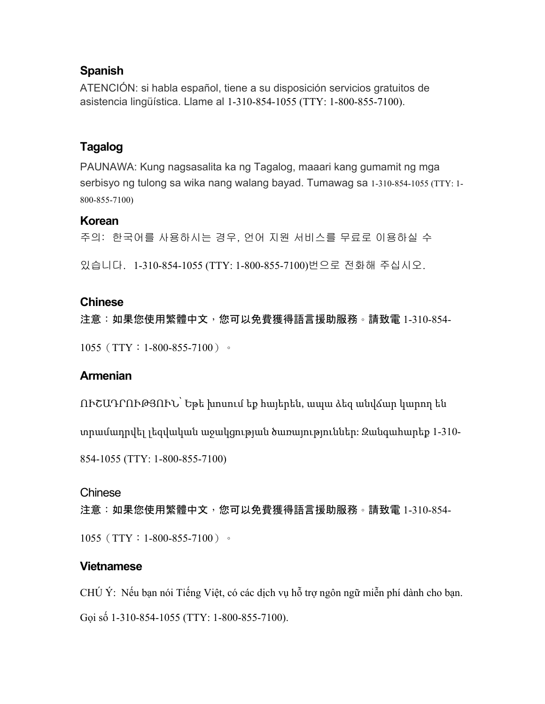## **Spanish**

ATENCIÓN: si habla español, tiene a su disposición servicios gratuitos de asistencia lingüística. Llame al 1-310-854-1055 (TTY: 1-800-855-7100).

# **Tagalog**

PAUNAWA: Kung nagsasalita ka ng Tagalog, maaari kang gumamit ng mga serbisyo ng tulong sa wika nang walang bayad. Tumawag sa 1-310-854-1055 (TTY: 1- 800-855-7100)

### **Korean**

주의: 한국어를 사용하시는 경우, 언어 지원 서비스를 무료로 이용하실 수

있습니다. 1-310-854-1055 (TTY: 1-800-855-7100)번으로 전화해 주십시오.

### **Chinese**

注意:如果您使用繁體中文,您可以免費獲得語言援助服務。請致電 1-310-854-1055 (TTY: 1-800-855-7100)。

# **Armenian**

ՈՒՇԱԴՐՈՒԹՅՈՒՆ՝ Եթե խոսում եք հայերեն, ապա ձեզ անվճար կարող են

տրամադրվել լեզվական աջակցության ծառայություններ: Զանգահարեք 1-310-

854-1055 (TTY: 1-800-855-7100)

#### Chinese

注意:如果您使用繁體中文,您可以免費獲得語言援助服務。請致電 1-310-854-

1055 (TTY: 1-800-855-7100)。

# **Vietnamese**

CHÚ Ý: Nếu bạn nói Tiếng Việt, có các dịch vụ hỗ trợ ngôn ngữ miễn phí dành cho bạn. Gọi số 1-310-854-1055 (TTY: 1-800-855-7100).